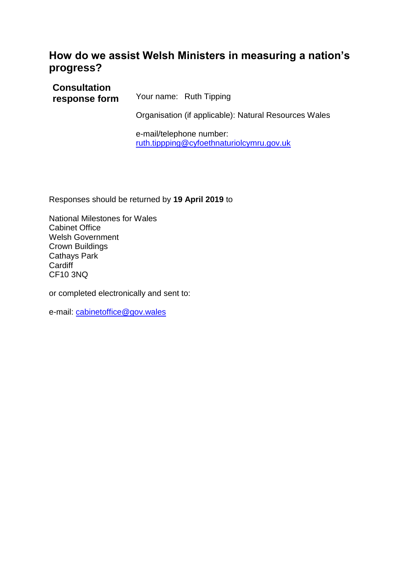# **How do we assist Welsh Ministers in measuring a nation's progress?**

**Consultation response form** Your name: Ruth Tipping Organisation (if applicable): Natural Resources Wales

e-mail/telephone number: [ruth.tippping@cyfoethnaturiolcymru.gov.uk](mailto:ruth.tippping@cyfoethnaturiolcymru.gov.uk)

Responses should be returned by **19 April 2019** to

National Milestones for Wales Cabinet Office Welsh Government Crown Buildings Cathays Park **Cardiff** CF10 3NQ

or completed electronically and sent to:

e-mail: [cabinetoffice@gov.wales](mailto:cabinetoffice@gov.wales)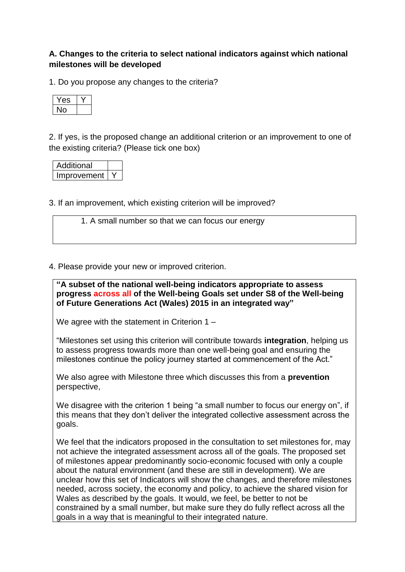# **A. Changes to the criteria to select national indicators against which national milestones will be developed**

1. Do you propose any changes to the criteria?

| - |  |
|---|--|
|   |  |

2. If yes, is the proposed change an additional criterion or an improvement to one of the existing criteria? (Please tick one box)

| Additional  |  |
|-------------|--|
| Improvement |  |

3. If an improvement, which existing criterion will be improved?

1. A small number so that we can focus our energy

4. Please provide your new or improved criterion.

**"A subset of the national well-being indicators appropriate to assess progress across all of the Well-being Goals set under S8 of the Well-being of Future Generations Act (Wales) 2015 in an integrated way"**

We agree with the statement in Criterion 1 –

"Milestones set using this criterion will contribute towards **integration**, helping us to assess progress towards more than one well-being goal and ensuring the milestones continue the policy journey started at commencement of the Act."

We also agree with Milestone three which discusses this from a **prevention** perspective,

We disagree with the criterion 1 being "a small number to focus our energy on", if this means that they don't deliver the integrated collective assessment across the goals.

We feel that the indicators proposed in the consultation to set milestones for, may not achieve the integrated assessment across all of the goals. The proposed set of milestones appear predominantly socio-economic focused with only a couple about the natural environment (and these are still in development). We are unclear how this set of Indicators will show the changes, and therefore milestones needed, across society, the economy and policy, to achieve the shared vision for Wales as described by the goals. It would, we feel, be better to not be constrained by a small number, but make sure they do fully reflect across all the goals in a way that is meaningful to their integrated nature.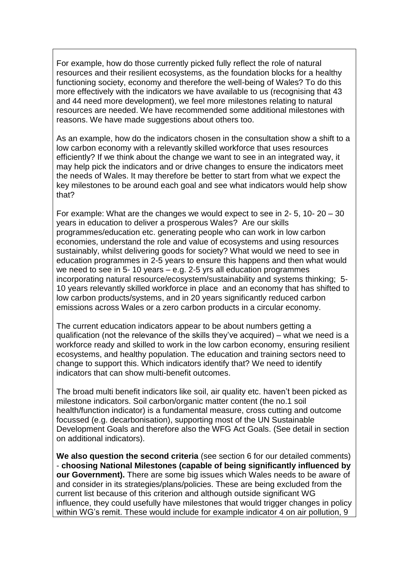For example, how do those currently picked fully reflect the role of natural resources and their resilient ecosystems, as the foundation blocks for a healthy functioning society, economy and therefore the well-being of Wales? To do this more effectively with the indicators we have available to us (recognising that 43 and 44 need more development), we feel more milestones relating to natural resources are needed. We have recommended some additional milestones with reasons. We have made suggestions about others too.

As an example, how do the indicators chosen in the consultation show a shift to a low carbon economy with a relevantly skilled workforce that uses resources efficiently? If we think about the change we want to see in an integrated way, it may help pick the indicators and or drive changes to ensure the indicators meet the needs of Wales. It may therefore be better to start from what we expect the key milestones to be around each goal and see what indicators would help show that?

For example: What are the changes we would expect to see in 2- 5, 10- 20 – 30 years in education to deliver a prosperous Wales? Are our skills programmes/education etc. generating people who can work in low carbon economies, understand the role and value of ecosystems and using resources sustainably, whilst delivering goods for society? What would we need to see in education programmes in 2-5 years to ensure this happens and then what would we need to see in 5- 10 years – e.g. 2-5 yrs all education programmes incorporating natural resource/ecosystem/sustainability and systems thinking; 5- 10 years relevantly skilled workforce in place and an economy that has shifted to low carbon products/systems, and in 20 years significantly reduced carbon emissions across Wales or a zero carbon products in a circular economy.

The current education indicators appear to be about numbers getting a qualification (not the relevance of the skills they've acquired) – what we need is a workforce ready and skilled to work in the low carbon economy, ensuring resilient ecosystems, and healthy population. The education and training sectors need to change to support this. Which indicators identify that? We need to identify indicators that can show multi-benefit outcomes.

The broad multi benefit indicators like soil, air quality etc. haven't been picked as milestone indicators. Soil carbon/organic matter content (the no.1 soil health/function indicator) is a fundamental measure, cross cutting and outcome focussed (e.g. decarbonisation), supporting most of the UN Sustainable Development Goals and therefore also the WFG Act Goals. (See detail in section on additional indicators).

**We also question the second criteria** (see section 6 for our detailed comments) - **choosing National Milestones (capable of being significantly influenced by our Government).** There are some big issues which Wales needs to be aware of and consider in its strategies/plans/policies. These are being excluded from the current list because of this criterion and although outside significant WG influence, they could usefully have milestones that would trigger changes in policy within WG's remit. These would include for example indicator 4 on air pollution, 9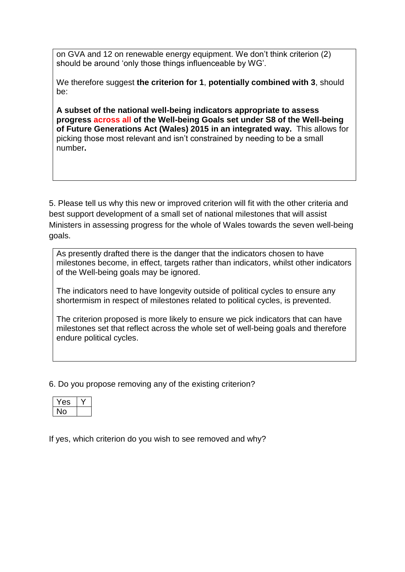on GVA and 12 on renewable energy equipment. We don't think criterion (2) should be around 'only those things influenceable by WG'.

We therefore suggest **the criterion for 1**, **potentially combined with 3**, should be:

**A subset of the national well-being indicators appropriate to assess progress across all of the Well-being Goals set under S8 of the Well-being of Future Generations Act (Wales) 2015 in an integrated way.** This allows for picking those most relevant and isn't constrained by needing to be a small number**.**

5. Please tell us why this new or improved criterion will fit with the other criteria and best support development of a small set of national milestones that will assist Ministers in assessing progress for the whole of Wales towards the seven well-being goals.

As presently drafted there is the danger that the indicators chosen to have milestones become, in effect, targets rather than indicators, whilst other indicators of the Well-being goals may be ignored.

The indicators need to have longevity outside of political cycles to ensure any shortermism in respect of milestones related to political cycles, is prevented.

The criterion proposed is more likely to ensure we pick indicators that can have milestones set that reflect across the whole set of well-being goals and therefore endure political cycles.

6. Do you propose removing any of the existing criterion?

| ۰ |  |
|---|--|
|   |  |

If yes, which criterion do you wish to see removed and why?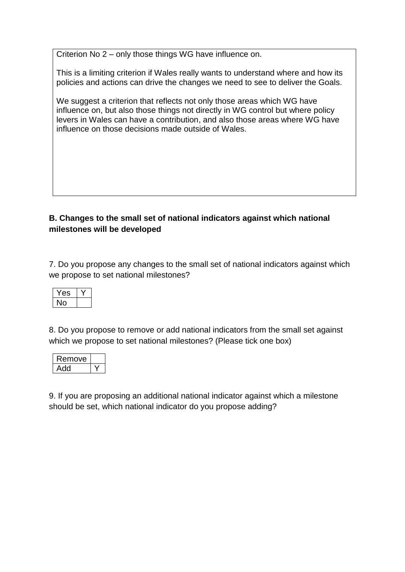Criterion No 2 – only those things WG have influence on.

This is a limiting criterion if Wales really wants to understand where and how its policies and actions can drive the changes we need to see to deliver the Goals.

We suggest a criterion that reflects not only those areas which WG have influence on, but also those things not directly in WG control but where policy levers in Wales can have a contribution, and also those areas where WG have influence on those decisions made outside of Wales.

# **B. Changes to the small set of national indicators against which national milestones will be developed**

7. Do you propose any changes to the small set of national indicators against which we propose to set national milestones?

8. Do you propose to remove or add national indicators from the small set against which we propose to set national milestones? (Please tick one box)

| Remove |  |
|--------|--|
|        |  |

9. If you are proposing an additional national indicator against which a milestone should be set, which national indicator do you propose adding?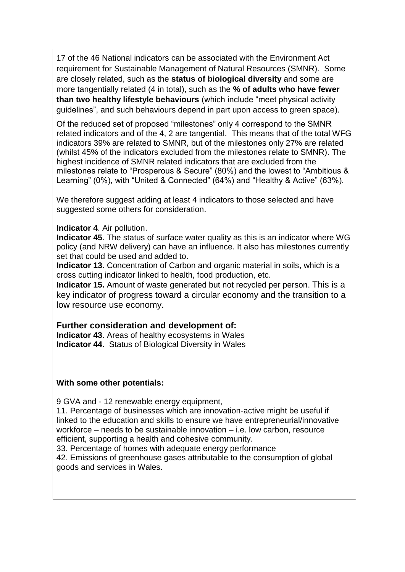17 of the 46 National indicators can be associated with the Environment Act requirement for Sustainable Management of Natural Resources (SMNR). Some are closely related, such as the **status of biological diversity** and some are more tangentially related (4 in total), such as the **% of adults who have fewer than two healthy lifestyle behaviours** (which include "meet physical activity guidelines", and such behaviours depend in part upon access to green space).

Of the reduced set of proposed "milestones" only 4 correspond to the SMNR related indicators and of the 4, 2 are tangential. This means that of the total WFG indicators 39% are related to SMNR, but of the milestones only 27% are related (whilst 45% of the indicators excluded from the milestones relate to SMNR). The highest incidence of SMNR related indicators that are excluded from the milestones relate to "Prosperous & Secure" (80%) and the lowest to "Ambitious & Learning" (0%), with "United & Connected" (64%) and "Healthy & Active" (63%).

We therefore suggest adding at least 4 indicators to those selected and have suggested some others for consideration.

## **Indicator 4**. Air pollution.

**Indicator 45**. The status of surface water quality as this is an indicator where WG policy (and NRW delivery) can have an influence. It also has milestones currently set that could be used and added to.

**Indicator 13**. Concentration of Carbon and organic material in soils, which is a cross cutting indicator linked to health, food production, etc.

**Indicator 15.** Amount of waste generated but not recycled per person. This is a key indicator of progress toward a circular economy and the transition to a low resource use economy.

# **Further consideration and development of:**

**Indicator 43**. Areas of healthy ecosystems in Wales **Indicator 44**. Status of Biological Diversity in Wales

#### **With some other potentials:**

9 GVA and - 12 renewable energy equipment,

11. Percentage of businesses which are innovation-active might be useful if linked to the education and skills to ensure we have entrepreneurial/innovative workforce – needs to be sustainable innovation – i.e. low carbon, resource efficient, supporting a health and cohesive community.

33. Percentage of homes with adequate energy performance

42. Emissions of greenhouse gases attributable to the consumption of global goods and services in Wales.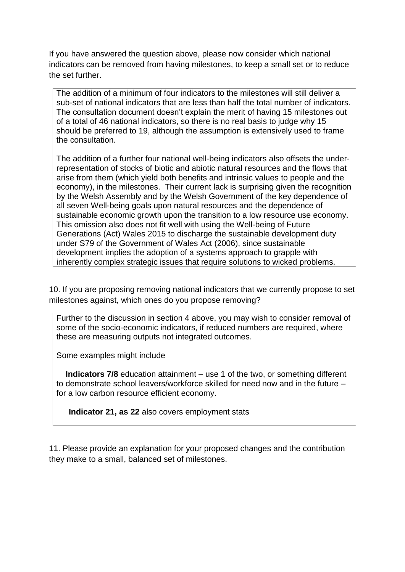If you have answered the question above, please now consider which national indicators can be removed from having milestones, to keep a small set or to reduce the set further.

The addition of a minimum of four indicators to the milestones will still deliver a sub-set of national indicators that are less than half the total number of indicators. The consultation document doesn't explain the merit of having 15 milestones out of a total of 46 national indicators, so there is no real basis to judge why 15 should be preferred to 19, although the assumption is extensively used to frame the consultation.

The addition of a further four national well-being indicators also offsets the underrepresentation of stocks of biotic and abiotic natural resources and the flows that arise from them (which yield both benefits and intrinsic values to people and the economy), in the milestones. Their current lack is surprising given the recognition by the Welsh Assembly and by the Welsh Government of the key dependence of all seven Well-being goals upon natural resources and the dependence of sustainable economic growth upon the transition to a low resource use economy. This omission also does not fit well with using the Well-being of Future Generations (Act) Wales 2015 to discharge the sustainable development duty under S79 of the Government of Wales Act (2006), since sustainable development implies the adoption of a systems approach to grapple with inherently complex strategic issues that require solutions to wicked problems.

10. If you are proposing removing national indicators that we currently propose to set milestones against, which ones do you propose removing?

Further to the discussion in section 4 above, you may wish to consider removal of some of the socio-economic indicators, if reduced numbers are required, where these are measuring outputs not integrated outcomes.

Some examples might include

 **Indicators 7/8** education attainment – use 1 of the two, or something different to demonstrate school leavers/workforce skilled for need now and in the future – for a low carbon resource efficient economy.

**Indicator 21, as 22** also covers employment stats

11. Please provide an explanation for your proposed changes and the contribution they make to a small, balanced set of milestones.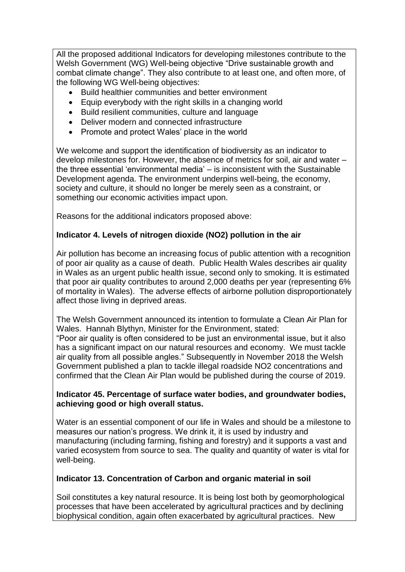All the proposed additional Indicators for developing milestones contribute to the Welsh Government (WG) Well-being objective "Drive sustainable growth and combat climate change". They also contribute to at least one, and often more, of the following WG Well-being objectives:

- Build healthier communities and better environment
- Equip everybody with the right skills in a changing world
- Build resilient communities, culture and language
- Deliver modern and connected infrastructure
- Promote and protect Wales' place in the world

We welcome and support the identification of biodiversity as an indicator to develop milestones for. However, the absence of metrics for soil, air and water – the three essential 'environmental media' – is inconsistent with the Sustainable Development agenda. The environment underpins well-being, the economy, society and culture, it should no longer be merely seen as a constraint, or something our economic activities impact upon.

Reasons for the additional indicators proposed above:

## **Indicator 4. Levels of nitrogen dioxide (NO2) pollution in the air**

Air pollution has become an increasing focus of public attention with a recognition of poor air quality as a cause of death. Public Health Wales describes air quality in Wales as an urgent public health issue, second only to smoking. It is estimated that poor air quality contributes to around 2,000 deaths per year (representing 6% of mortality in Wales). The adverse effects of airborne pollution disproportionately affect those living in deprived areas.

The Welsh Government announced its intention to formulate a Clean Air Plan for Wales. Hannah Blythyn, Minister for the Environment, stated:

"Poor air quality is often considered to be just an environmental issue, but it also has a significant impact on our natural resources and economy. We must tackle air quality from all possible angles." Subsequently in November 2018 the Welsh Government published a plan to tackle illegal roadside NO2 concentrations and confirmed that the Clean Air Plan would be published during the course of 2019.

#### **Indicator 45. Percentage of surface water bodies, and groundwater bodies, achieving good or high overall status.**

Water is an essential component of our life in Wales and should be a milestone to measures our nation's progress. We drink it, it is used by industry and manufacturing (including farming, fishing and forestry) and it supports a vast and varied ecosystem from source to sea. The quality and quantity of water is vital for well-being.

#### **Indicator 13. Concentration of Carbon and organic material in soil**

Soil constitutes a key natural resource. It is being lost both by geomorphological processes that have been accelerated by agricultural practices and by declining biophysical condition, again often exacerbated by agricultural practices. New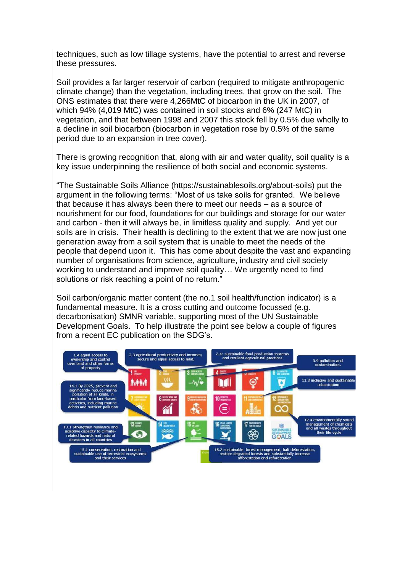techniques, such as low tillage systems, have the potential to arrest and reverse these pressures.

Soil provides a far larger reservoir of carbon (required to mitigate anthropogenic climate change) than the vegetation, including trees, that grow on the soil. The ONS estimates that there were 4,266MtC of biocarbon in the UK in 2007, of which 94% (4,019 MtC) was contained in soil stocks and 6% (247 MtC) in vegetation, and that between 1998 and 2007 this stock fell by 0.5% due wholly to a decline in soil biocarbon (biocarbon in vegetation rose by 0.5% of the same period due to an expansion in tree cover).

There is growing recognition that, along with air and water quality, soil quality is a key issue underpinning the resilience of both social and economic systems.

"The Sustainable Soils Alliance (https://sustainablesoils.org/about-soils) put the argument in the following terms: "Most of us take soils for granted. We believe that because it has always been there to meet our needs – as a source of nourishment for our food, foundations for our buildings and storage for our water and carbon - then it will always be, in limitless quality and supply. And yet our soils are in crisis. Their health is declining to the extent that we are now just one generation away from a soil system that is unable to meet the needs of the people that depend upon it. This has come about despite the vast and expanding number of organisations from science, agriculture, industry and civil society working to understand and improve soil quality… We urgently need to find solutions or risk reaching a point of no return."

Soil carbon/organic matter content (the no.1 soil health/function indicator) is a fundamental measure. It is a cross cutting and outcome focussed (e.g. decarbonisation) SMNR variable, supporting most of the UN Sustainable Development Goals. To help illustrate the point see below a couple of figures from a recent EC publication on the SDG's.

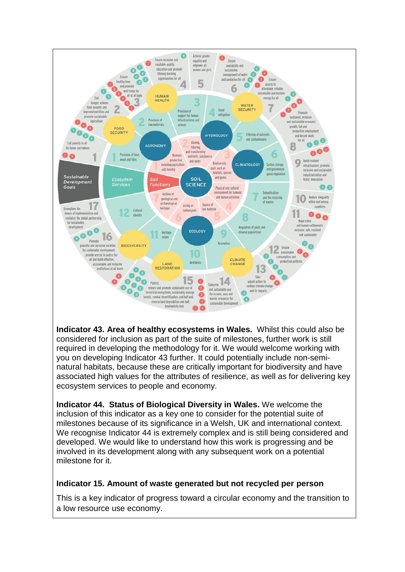

**Indicator 43. Area of healthy ecosystems in Wales.** Whilst this could also be considered for inclusion as part of the suite of milestones, further work is still required in developing the methodology for it. We would welcome working with you on developing Indicator 43 further. It could potentially include non-seminatural habitats, because these are critically important for biodiversity and have associated high values for the attributes of resilience, as well as for delivering key ecosystem services to people and economy.

**Indicator 44. Status of Biological Diversity in Wales.** We welcome the inclusion of this indicator as a key one to consider for the potential suite of milestones because of its significance in a Welsh, UK and international context. We recognise Indicator 44 is extremely complex and is still being considered and developed. We would like to understand how this work is progressing and be involved in its development along with any subsequent work on a potential milestone for it.

#### **Indicator 15. Amount of waste generated but not recycled per person**

This is a key indicator of progress toward a circular economy and the transition to a low resource use economy.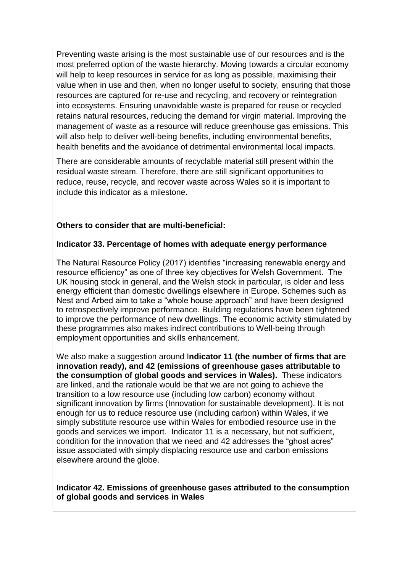Preventing waste arising is the most sustainable use of our resources and is the most preferred option of the waste hierarchy. Moving towards a circular economy will help to keep resources in service for as long as possible, maximising their value when in use and then, when no longer useful to society, ensuring that those resources are captured for re-use and recycling, and recovery or reintegration into ecosystems. Ensuring unavoidable waste is prepared for reuse or recycled retains natural resources, reducing the demand for virgin material. Improving the management of waste as a resource will reduce greenhouse gas emissions. This will also help to deliver well-being benefits, including environmental benefits, health benefits and the avoidance of detrimental environmental local impacts.

There are considerable amounts of recyclable material still present within the residual waste stream. Therefore, there are still significant opportunities to reduce, reuse, recycle, and recover waste across Wales so it is important to include this indicator as a milestone.

# **Others to consider that are multi-beneficial:**

## **Indicator 33. Percentage of homes with adequate energy performance**

The Natural Resource Policy (2017) identifies "increasing renewable energy and resource efficiency" as one of three key objectives for Welsh Government. The UK housing stock in general, and the Welsh stock in particular, is older and less energy efficient than domestic dwellings elsewhere in Europe. Schemes such as Nest and Arbed aim to take a "whole house approach" and have been designed to retrospectively improve performance. Building regulations have been tightened to improve the performance of new dwellings. The economic activity stimulated by these programmes also makes indirect contributions to Well-being through employment opportunities and skills enhancement.

We also make a suggestion around I**ndicator 11 (the number of firms that are innovation ready), and 42 (emissions of greenhouse gases attributable to the consumption of global goods and services in Wales).** These indicators are linked, and the rationale would be that we are not going to achieve the transition to a low resource use (including low carbon) economy without significant innovation by firms (Innovation for sustainable development). It is not enough for us to reduce resource use (including carbon) within Wales, if we simply substitute resource use within Wales for embodied resource use in the goods and services we import. Indicator 11 is a necessary, but not sufficient, condition for the innovation that we need and 42 addresses the "ghost acres" issue associated with simply displacing resource use and carbon emissions elsewhere around the globe.

**Indicator 42. Emissions of greenhouse gases attributed to the consumption of global goods and services in Wales**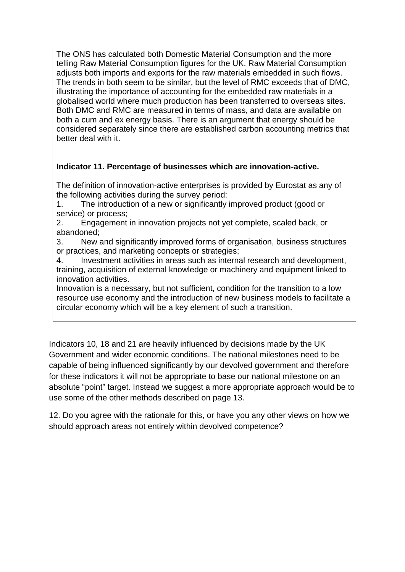The ONS has calculated both Domestic Material Consumption and the more telling Raw Material Consumption figures for the UK. Raw Material Consumption adjusts both imports and exports for the raw materials embedded in such flows. The trends in both seem to be similar, but the level of RMC exceeds that of DMC, illustrating the importance of accounting for the embedded raw materials in a globalised world where much production has been transferred to overseas sites. Both DMC and RMC are measured in terms of mass, and data are available on both a cum and ex energy basis. There is an argument that energy should be considered separately since there are established carbon accounting metrics that better deal with it.

# **Indicator 11. Percentage of businesses which are innovation-active.**

The definition of innovation-active enterprises is provided by Eurostat as any of the following activities during the survey period:

1. The introduction of a new or significantly improved product (good or service) or process;

2. Engagement in innovation projects not yet complete, scaled back, or abandoned;

3. New and significantly improved forms of organisation, business structures or practices, and marketing concepts or strategies;

4. Investment activities in areas such as internal research and development, training, acquisition of external knowledge or machinery and equipment linked to innovation activities.

Innovation is a necessary, but not sufficient, condition for the transition to a low resource use economy and the introduction of new business models to facilitate a circular economy which will be a key element of such a transition.

Indicators 10, 18 and 21 are heavily influenced by decisions made by the UK Government and wider economic conditions. The national milestones need to be capable of being influenced significantly by our devolved government and therefore for these indicators it will not be appropriate to base our national milestone on an absolute "point" target. Instead we suggest a more appropriate approach would be to use some of the other methods described on page 13.

12. Do you agree with the rationale for this, or have you any other views on how we should approach areas not entirely within devolved competence?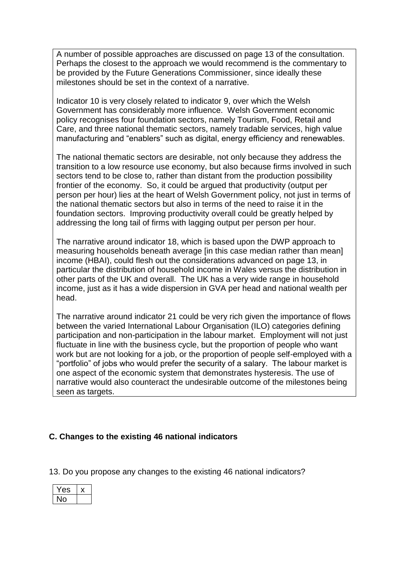A number of possible approaches are discussed on page 13 of the consultation. Perhaps the closest to the approach we would recommend is the commentary to be provided by the Future Generations Commissioner, since ideally these milestones should be set in the context of a narrative.

Indicator 10 is very closely related to indicator 9, over which the Welsh Government has considerably more influence. Welsh Government economic policy recognises four foundation sectors, namely Tourism, Food, Retail and Care, and three national thematic sectors, namely tradable services, high value manufacturing and "enablers" such as digital, energy efficiency and renewables.

The national thematic sectors are desirable, not only because they address the transition to a low resource use economy, but also because firms involved in such sectors tend to be close to, rather than distant from the production possibility frontier of the economy. So, it could be argued that productivity (output per person per hour) lies at the heart of Welsh Government policy, not just in terms of the national thematic sectors but also in terms of the need to raise it in the foundation sectors. Improving productivity overall could be greatly helped by addressing the long tail of firms with lagging output per person per hour.

The narrative around indicator 18, which is based upon the DWP approach to measuring households beneath average (in this case median rather than mean) income (HBAI), could flesh out the considerations advanced on page 13, in particular the distribution of household income in Wales versus the distribution in other parts of the UK and overall. The UK has a very wide range in household income, just as it has a wide dispersion in GVA per head and national wealth per head.

The narrative around indicator 21 could be very rich given the importance of flows between the varied International Labour Organisation (ILO) categories defining participation and non-participation in the labour market. Employment will not just fluctuate in line with the business cycle, but the proportion of people who want work but are not looking for a job, or the proportion of people self-employed with a "portfolio" of jobs who would prefer the security of a salary. The labour market is one aspect of the economic system that demonstrates hysteresis. The use of narrative would also counteract the undesirable outcome of the milestones being seen as targets.

# **C. Changes to the existing 46 national indicators**

13. Do you propose any changes to the existing 46 national indicators?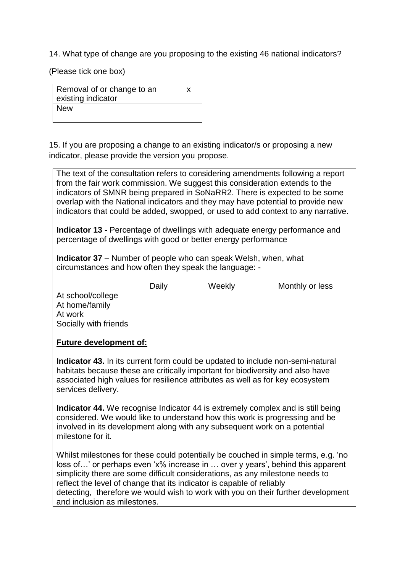14. What type of change are you proposing to the existing 46 national indicators?

(Please tick one box)

| Removal of or change to an<br>existing indicator |  |
|--------------------------------------------------|--|
| <b>New</b>                                       |  |

15. If you are proposing a change to an existing indicator/s or proposing a new indicator, please provide the version you propose.

The text of the consultation refers to considering amendments following a report from the fair work commission. We suggest this consideration extends to the indicators of SMNR being prepared in SoNaRR2. There is expected to be some overlap with the National indicators and they may have potential to provide new indicators that could be added, swopped, or used to add context to any narrative.

**Indicator 13 -** Percentage of dwellings with adequate energy performance and percentage of dwellings with good or better energy performance

**Indicator 37** – Number of people who can speak Welsh, when, what circumstances and how often they speak the language: -

Daily Weekly Monthly or less

At school/college At home/family At work Socially with friends

#### **Future development of:**

**Indicator 43.** In its current form could be updated to include non-semi-natural habitats because these are critically important for biodiversity and also have associated high values for resilience attributes as well as for key ecosystem services delivery.

**Indicator 44.** We recognise Indicator 44 is extremely complex and is still being considered. We would like to understand how this work is progressing and be involved in its development along with any subsequent work on a potential milestone for it.

Whilst milestones for these could potentially be couched in simple terms, e.g. 'no loss of…' or perhaps even 'x% increase in … over y years', behind this apparent simplicity there are some difficult considerations, as any milestone needs to reflect the level of change that its indicator is capable of reliably detecting, therefore we would wish to work with you on their further development and inclusion as milestones.